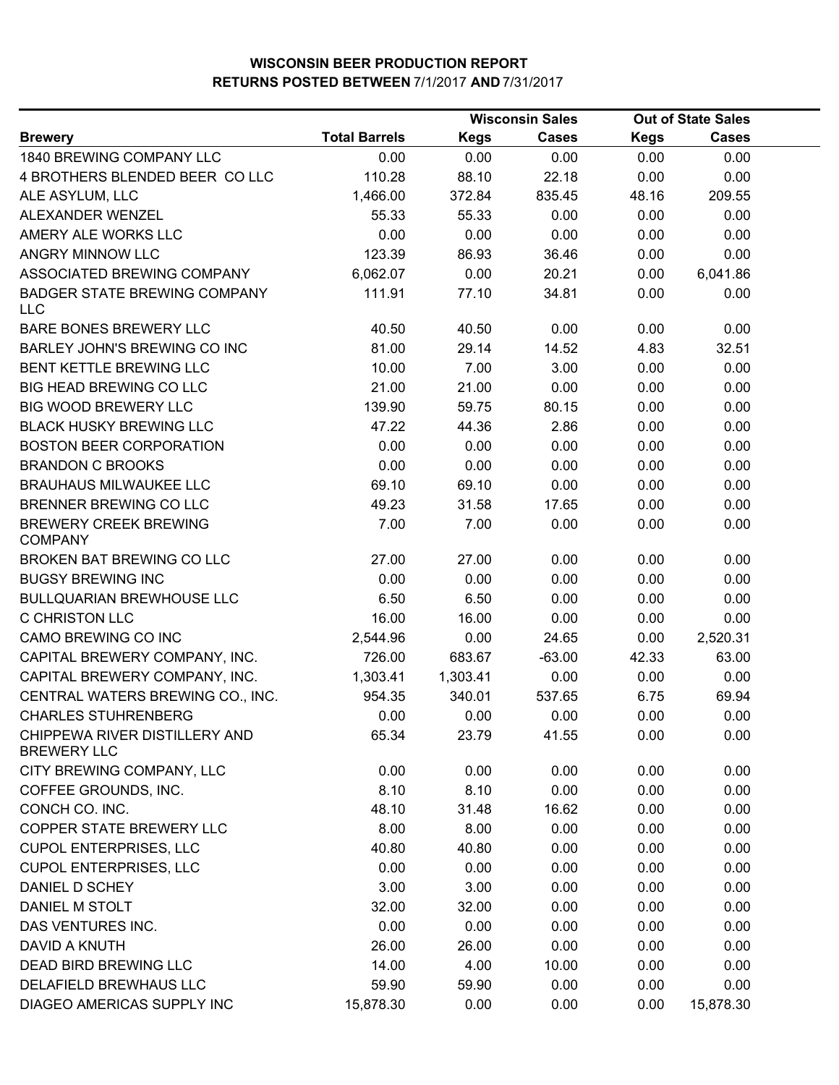|                                                     |                      |             | <b>Wisconsin Sales</b> |             | <b>Out of State Sales</b> |  |
|-----------------------------------------------------|----------------------|-------------|------------------------|-------------|---------------------------|--|
| <b>Brewery</b>                                      | <b>Total Barrels</b> | <b>Kegs</b> | <b>Cases</b>           | <b>Kegs</b> | <b>Cases</b>              |  |
| 1840 BREWING COMPANY LLC                            | 0.00                 | 0.00        | 0.00                   | 0.00        | 0.00                      |  |
| 4 BROTHERS BLENDED BEER COLLC                       | 110.28               | 88.10       | 22.18                  | 0.00        | 0.00                      |  |
| ALE ASYLUM, LLC                                     | 1,466.00             | 372.84      | 835.45                 | 48.16       | 209.55                    |  |
| ALEXANDER WENZEL                                    | 55.33                | 55.33       | 0.00                   | 0.00        | 0.00                      |  |
| AMERY ALE WORKS LLC                                 | 0.00                 | 0.00        | 0.00                   | 0.00        | 0.00                      |  |
| ANGRY MINNOW LLC                                    | 123.39               | 86.93       | 36.46                  | 0.00        | 0.00                      |  |
| ASSOCIATED BREWING COMPANY                          | 6,062.07             | 0.00        | 20.21                  | 0.00        | 6,041.86                  |  |
| <b>BADGER STATE BREWING COMPANY</b><br><b>LLC</b>   | 111.91               | 77.10       | 34.81                  | 0.00        | 0.00                      |  |
| BARE BONES BREWERY LLC                              | 40.50                | 40.50       | 0.00                   | 0.00        | 0.00                      |  |
| BARLEY JOHN'S BREWING CO INC                        | 81.00                | 29.14       | 14.52                  | 4.83        | 32.51                     |  |
| BENT KETTLE BREWING LLC                             | 10.00                | 7.00        | 3.00                   | 0.00        | 0.00                      |  |
| <b>BIG HEAD BREWING CO LLC</b>                      | 21.00                | 21.00       | 0.00                   | 0.00        | 0.00                      |  |
| <b>BIG WOOD BREWERY LLC</b>                         | 139.90               | 59.75       | 80.15                  | 0.00        | 0.00                      |  |
| <b>BLACK HUSKY BREWING LLC</b>                      | 47.22                | 44.36       | 2.86                   | 0.00        | 0.00                      |  |
| <b>BOSTON BEER CORPORATION</b>                      | 0.00                 | 0.00        | 0.00                   | 0.00        | 0.00                      |  |
| <b>BRANDON C BROOKS</b>                             | 0.00                 | 0.00        | 0.00                   | 0.00        | 0.00                      |  |
| <b>BRAUHAUS MILWAUKEE LLC</b>                       | 69.10                | 69.10       | 0.00                   | 0.00        | 0.00                      |  |
| BRENNER BREWING CO LLC                              | 49.23                | 31.58       | 17.65                  | 0.00        | 0.00                      |  |
| <b>BREWERY CREEK BREWING</b><br><b>COMPANY</b>      | 7.00                 | 7.00        | 0.00                   | 0.00        | 0.00                      |  |
| BROKEN BAT BREWING CO LLC                           | 27.00                | 27.00       | 0.00                   | 0.00        | 0.00                      |  |
| <b>BUGSY BREWING INC</b>                            | 0.00                 | 0.00        | 0.00                   | 0.00        | 0.00                      |  |
| <b>BULLQUARIAN BREWHOUSE LLC</b>                    | 6.50                 | 6.50        | 0.00                   | 0.00        | 0.00                      |  |
| <b>C CHRISTON LLC</b>                               | 16.00                | 16.00       | 0.00                   | 0.00        | 0.00                      |  |
| CAMO BREWING CO INC                                 | 2,544.96             | 0.00        | 24.65                  | 0.00        | 2,520.31                  |  |
| CAPITAL BREWERY COMPANY, INC.                       | 726.00               | 683.67      | $-63.00$               | 42.33       | 63.00                     |  |
| CAPITAL BREWERY COMPANY, INC.                       | 1,303.41             | 1,303.41    | 0.00                   | 0.00        | 0.00                      |  |
| CENTRAL WATERS BREWING CO., INC.                    | 954.35               | 340.01      | 537.65                 | 6.75        | 69.94                     |  |
| <b>CHARLES STUHRENBERG</b>                          | 0.00                 | 0.00        | 0.00                   | 0.00        | 0.00                      |  |
| CHIPPEWA RIVER DISTILLERY AND<br><b>BREWERY LLC</b> | 65.34                | 23.79       | 41.55                  | 0.00        | 0.00                      |  |
| CITY BREWING COMPANY, LLC                           | 0.00                 | 0.00        | 0.00                   | 0.00        | 0.00                      |  |
| COFFEE GROUNDS, INC.                                | 8.10                 | 8.10        | 0.00                   | 0.00        | 0.00                      |  |
| CONCH CO. INC.                                      | 48.10                | 31.48       | 16.62                  | 0.00        | 0.00                      |  |
| COPPER STATE BREWERY LLC                            | 8.00                 | 8.00        | 0.00                   | 0.00        | 0.00                      |  |
| <b>CUPOL ENTERPRISES, LLC</b>                       | 40.80                | 40.80       | 0.00                   | 0.00        | 0.00                      |  |
| <b>CUPOL ENTERPRISES, LLC</b>                       | 0.00                 | 0.00        | 0.00                   | 0.00        | 0.00                      |  |
| DANIEL D SCHEY                                      | 3.00                 | 3.00        | 0.00                   | 0.00        | 0.00                      |  |
| DANIEL M STOLT                                      | 32.00                | 32.00       | 0.00                   | 0.00        | 0.00                      |  |
| DAS VENTURES INC.                                   | 0.00                 | 0.00        | 0.00                   | 0.00        | 0.00                      |  |
| DAVID A KNUTH                                       | 26.00                | 26.00       | 0.00                   | 0.00        | 0.00                      |  |
| DEAD BIRD BREWING LLC                               | 14.00                | 4.00        | 10.00                  | 0.00        | 0.00                      |  |
| DELAFIELD BREWHAUS LLC                              | 59.90                | 59.90       | 0.00                   | 0.00        | 0.00                      |  |
| DIAGEO AMERICAS SUPPLY INC                          | 15,878.30            | 0.00        | 0.00                   | 0.00        | 15,878.30                 |  |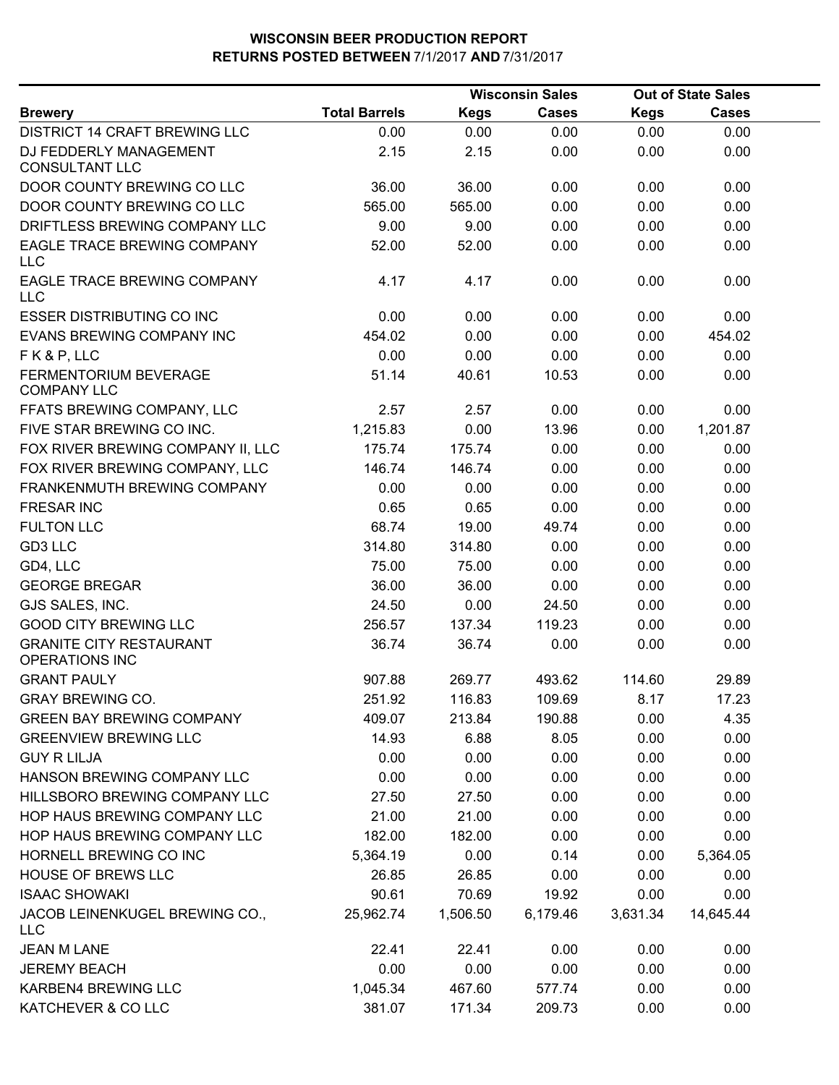|                                                  |                      |             | <b>Wisconsin Sales</b> |             | <b>Out of State Sales</b> |  |
|--------------------------------------------------|----------------------|-------------|------------------------|-------------|---------------------------|--|
| <b>Brewery</b>                                   | <b>Total Barrels</b> | <b>Kegs</b> | <b>Cases</b>           | <b>Kegs</b> | <b>Cases</b>              |  |
| <b>DISTRICT 14 CRAFT BREWING LLC</b>             | 0.00                 | 0.00        | 0.00                   | 0.00        | 0.00                      |  |
| DJ FEDDERLY MANAGEMENT<br><b>CONSULTANT LLC</b>  | 2.15                 | 2.15        | 0.00                   | 0.00        | 0.00                      |  |
| DOOR COUNTY BREWING CO LLC                       | 36.00                | 36.00       | 0.00                   | 0.00        | 0.00                      |  |
| DOOR COUNTY BREWING CO LLC                       | 565.00               | 565.00      | 0.00                   | 0.00        | 0.00                      |  |
| DRIFTLESS BREWING COMPANY LLC                    | 9.00                 | 9.00        | 0.00                   | 0.00        | 0.00                      |  |
| EAGLE TRACE BREWING COMPANY<br>LLC               | 52.00                | 52.00       | 0.00                   | 0.00        | 0.00                      |  |
| EAGLE TRACE BREWING COMPANY<br>LLC               | 4.17                 | 4.17        | 0.00                   | 0.00        | 0.00                      |  |
| <b>ESSER DISTRIBUTING CO INC</b>                 | 0.00                 | 0.00        | 0.00                   | 0.00        | 0.00                      |  |
| EVANS BREWING COMPANY INC                        | 454.02               | 0.00        | 0.00                   | 0.00        | 454.02                    |  |
| FK&P, LLC                                        | 0.00                 | 0.00        | 0.00                   | 0.00        | 0.00                      |  |
| FERMENTORIUM BEVERAGE<br><b>COMPANY LLC</b>      | 51.14                | 40.61       | 10.53                  | 0.00        | 0.00                      |  |
| FFATS BREWING COMPANY, LLC                       | 2.57                 | 2.57        | 0.00                   | 0.00        | 0.00                      |  |
| FIVE STAR BREWING CO INC.                        | 1,215.83             | 0.00        | 13.96                  | 0.00        | 1,201.87                  |  |
| FOX RIVER BREWING COMPANY II, LLC                | 175.74               | 175.74      | 0.00                   | 0.00        | 0.00                      |  |
| FOX RIVER BREWING COMPANY, LLC                   | 146.74               | 146.74      | 0.00                   | 0.00        | 0.00                      |  |
| FRANKENMUTH BREWING COMPANY                      | 0.00                 | 0.00        | 0.00                   | 0.00        | 0.00                      |  |
| <b>FRESAR INC</b>                                | 0.65                 | 0.65        | 0.00                   | 0.00        | 0.00                      |  |
| <b>FULTON LLC</b>                                | 68.74                | 19.00       | 49.74                  | 0.00        | 0.00                      |  |
| GD3 LLC                                          | 314.80               | 314.80      | 0.00                   | 0.00        | 0.00                      |  |
| GD4, LLC                                         | 75.00                | 75.00       | 0.00                   | 0.00        | 0.00                      |  |
| <b>GEORGE BREGAR</b>                             | 36.00                | 36.00       | 0.00                   | 0.00        | 0.00                      |  |
| GJS SALES, INC.                                  | 24.50                | 0.00        | 24.50                  | 0.00        | 0.00                      |  |
| <b>GOOD CITY BREWING LLC</b>                     | 256.57               | 137.34      | 119.23                 | 0.00        | 0.00                      |  |
| <b>GRANITE CITY RESTAURANT</b><br>OPERATIONS INC | 36.74                | 36.74       | 0.00                   | 0.00        | 0.00                      |  |
| <b>GRANT PAULY</b>                               | 907.88               | 269.77      | 493.62                 | 114.60      | 29.89                     |  |
| <b>GRAY BREWING CO.</b>                          | 251.92               | 116.83      | 109.69                 | 8.17        | 17.23                     |  |
| <b>GREEN BAY BREWING COMPANY</b>                 | 409.07               | 213.84      | 190.88                 | 0.00        | 4.35                      |  |
| <b>GREENVIEW BREWING LLC</b>                     | 14.93                | 6.88        | 8.05                   | 0.00        | 0.00                      |  |
| <b>GUY R LILJA</b>                               | 0.00                 | 0.00        | 0.00                   | 0.00        | 0.00                      |  |
| HANSON BREWING COMPANY LLC                       | 0.00                 | 0.00        | 0.00                   | 0.00        | 0.00                      |  |
| HILLSBORO BREWING COMPANY LLC                    | 27.50                | 27.50       | 0.00                   | 0.00        | 0.00                      |  |
| HOP HAUS BREWING COMPANY LLC                     | 21.00                | 21.00       | 0.00                   | 0.00        | 0.00                      |  |
| HOP HAUS BREWING COMPANY LLC                     | 182.00               | 182.00      | 0.00                   | 0.00        | 0.00                      |  |
| HORNELL BREWING CO INC                           | 5,364.19             | 0.00        | 0.14                   | 0.00        | 5,364.05                  |  |
| <b>HOUSE OF BREWS LLC</b>                        | 26.85                | 26.85       | 0.00                   | 0.00        | 0.00                      |  |
| <b>ISAAC SHOWAKI</b>                             | 90.61                | 70.69       | 19.92                  | 0.00        | 0.00                      |  |
| JACOB LEINENKUGEL BREWING CO.,<br><b>LLC</b>     | 25,962.74            | 1,506.50    | 6,179.46               | 3,631.34    | 14,645.44                 |  |
| <b>JEAN M LANE</b>                               | 22.41                | 22.41       | 0.00                   | 0.00        | 0.00                      |  |
| <b>JEREMY BEACH</b>                              | 0.00                 | 0.00        | 0.00                   | 0.00        | 0.00                      |  |
| <b>KARBEN4 BREWING LLC</b>                       | 1,045.34             | 467.60      | 577.74                 | 0.00        | 0.00                      |  |
| KATCHEVER & CO LLC                               | 381.07               | 171.34      | 209.73                 | 0.00        | 0.00                      |  |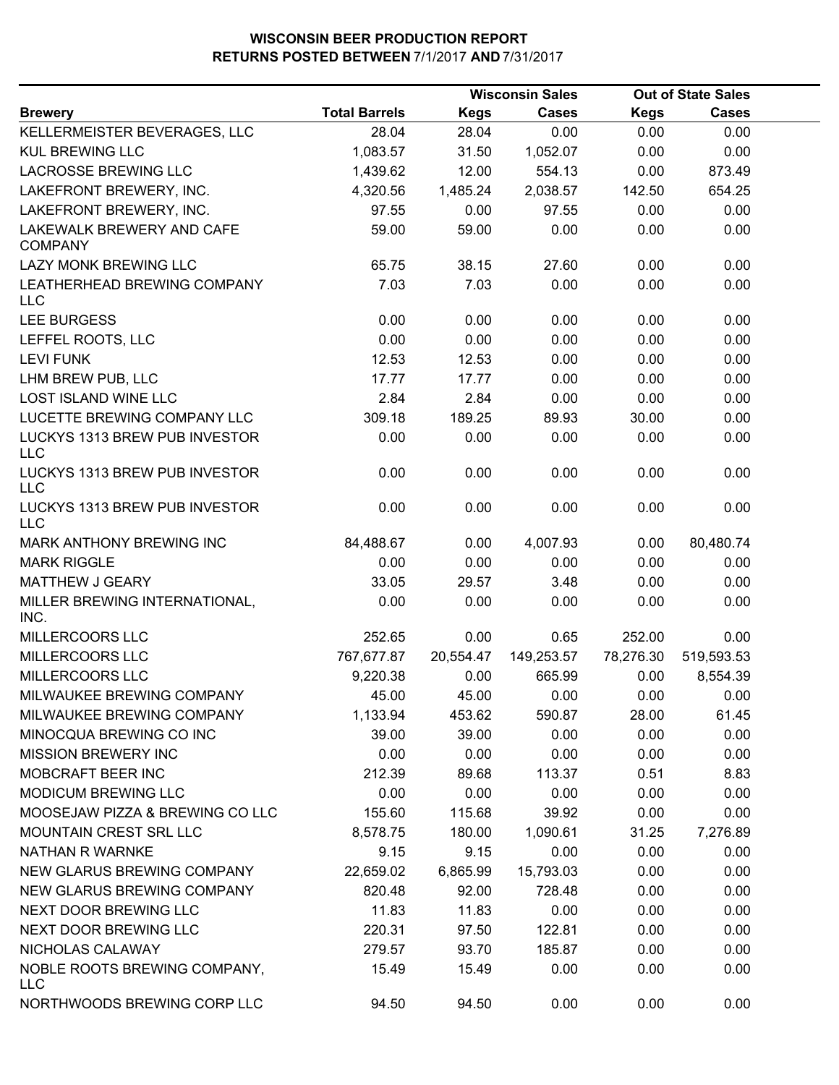|                                             |                      |             | <b>Wisconsin Sales</b> |             | <b>Out of State Sales</b> |  |  |
|---------------------------------------------|----------------------|-------------|------------------------|-------------|---------------------------|--|--|
| <b>Brewery</b>                              | <b>Total Barrels</b> | <b>Kegs</b> | <b>Cases</b>           | <b>Kegs</b> | <b>Cases</b>              |  |  |
| KELLERMEISTER BEVERAGES, LLC                | 28.04                | 28.04       | 0.00                   | 0.00        | 0.00                      |  |  |
| <b>KUL BREWING LLC</b>                      | 1,083.57             | 31.50       | 1,052.07               | 0.00        | 0.00                      |  |  |
| LACROSSE BREWING LLC                        | 1,439.62             | 12.00       | 554.13                 | 0.00        | 873.49                    |  |  |
| LAKEFRONT BREWERY, INC.                     | 4,320.56             | 1,485.24    | 2,038.57               | 142.50      | 654.25                    |  |  |
| LAKEFRONT BREWERY, INC.                     | 97.55                | 0.00        | 97.55                  | 0.00        | 0.00                      |  |  |
| LAKEWALK BREWERY AND CAFE<br><b>COMPANY</b> | 59.00                | 59.00       | 0.00                   | 0.00        | 0.00                      |  |  |
| LAZY MONK BREWING LLC                       | 65.75                | 38.15       | 27.60                  | 0.00        | 0.00                      |  |  |
| LEATHERHEAD BREWING COMPANY<br><b>LLC</b>   | 7.03                 | 7.03        | 0.00                   | 0.00        | 0.00                      |  |  |
| <b>LEE BURGESS</b>                          | 0.00                 | 0.00        | 0.00                   | 0.00        | 0.00                      |  |  |
| LEFFEL ROOTS, LLC                           | 0.00                 | 0.00        | 0.00                   | 0.00        | 0.00                      |  |  |
| <b>LEVI FUNK</b>                            | 12.53                | 12.53       | 0.00                   | 0.00        | 0.00                      |  |  |
| LHM BREW PUB, LLC                           | 17.77                | 17.77       | 0.00                   | 0.00        | 0.00                      |  |  |
| <b>LOST ISLAND WINE LLC</b>                 | 2.84                 | 2.84        | 0.00                   | 0.00        | 0.00                      |  |  |
| LUCETTE BREWING COMPANY LLC                 | 309.18               | 189.25      | 89.93                  | 30.00       | 0.00                      |  |  |
| LUCKYS 1313 BREW PUB INVESTOR<br><b>LLC</b> | 0.00                 | 0.00        | 0.00                   | 0.00        | 0.00                      |  |  |
| LUCKYS 1313 BREW PUB INVESTOR<br><b>LLC</b> | 0.00                 | 0.00        | 0.00                   | 0.00        | 0.00                      |  |  |
| LUCKYS 1313 BREW PUB INVESTOR<br><b>LLC</b> | 0.00                 | 0.00        | 0.00                   | 0.00        | 0.00                      |  |  |
| MARK ANTHONY BREWING INC                    | 84,488.67            | 0.00        | 4,007.93               | 0.00        | 80,480.74                 |  |  |
| <b>MARK RIGGLE</b>                          | 0.00                 | 0.00        | 0.00                   | 0.00        | 0.00                      |  |  |
| MATTHEW J GEARY                             | 33.05                | 29.57       | 3.48                   | 0.00        | 0.00                      |  |  |
| MILLER BREWING INTERNATIONAL,<br>INC.       | 0.00                 | 0.00        | 0.00                   | 0.00        | 0.00                      |  |  |
| MILLERCOORS LLC                             | 252.65               | 0.00        | 0.65                   | 252.00      | 0.00                      |  |  |
| MILLERCOORS LLC                             | 767,677.87           | 20,554.47   | 149,253.57             | 78,276.30   | 519,593.53                |  |  |
| MILLERCOORS LLC                             | 9,220.38             | 0.00        | 665.99                 | 0.00        | 8,554.39                  |  |  |
| MILWAUKEE BREWING COMPANY                   | 45.00                | 45.00       | 0.00                   | 0.00        | 0.00                      |  |  |
| MILWAUKEE BREWING COMPANY                   | 1,133.94             | 453.62      | 590.87                 | 28.00       | 61.45                     |  |  |
| MINOCQUA BREWING CO INC                     | 39.00                | 39.00       | 0.00                   | 0.00        | 0.00                      |  |  |
| <b>MISSION BREWERY INC</b>                  | 0.00                 | 0.00        | 0.00                   | 0.00        | 0.00                      |  |  |
| MOBCRAFT BEER INC                           | 212.39               | 89.68       | 113.37                 | 0.51        | 8.83                      |  |  |
| MODICUM BREWING LLC                         | 0.00                 | 0.00        | 0.00                   | 0.00        | 0.00                      |  |  |
| MOOSEJAW PIZZA & BREWING CO LLC             | 155.60               | 115.68      | 39.92                  | 0.00        | 0.00                      |  |  |
| MOUNTAIN CREST SRL LLC                      | 8,578.75             | 180.00      | 1,090.61               | 31.25       | 7,276.89                  |  |  |
| NATHAN R WARNKE                             | 9.15                 | 9.15        | 0.00                   | 0.00        | 0.00                      |  |  |
| NEW GLARUS BREWING COMPANY                  | 22,659.02            | 6,865.99    | 15,793.03              | 0.00        | 0.00                      |  |  |
| NEW GLARUS BREWING COMPANY                  | 820.48               | 92.00       | 728.48                 | 0.00        | 0.00                      |  |  |
| NEXT DOOR BREWING LLC                       | 11.83                | 11.83       | 0.00                   | 0.00        | 0.00                      |  |  |
| NEXT DOOR BREWING LLC                       | 220.31               | 97.50       | 122.81                 | 0.00        | 0.00                      |  |  |
| NICHOLAS CALAWAY                            | 279.57               | 93.70       | 185.87                 | 0.00        | 0.00                      |  |  |
| NOBLE ROOTS BREWING COMPANY,<br><b>LLC</b>  | 15.49                | 15.49       | 0.00                   | 0.00        | 0.00                      |  |  |
| NORTHWOODS BREWING CORP LLC                 | 94.50                | 94.50       | 0.00                   | 0.00        | 0.00                      |  |  |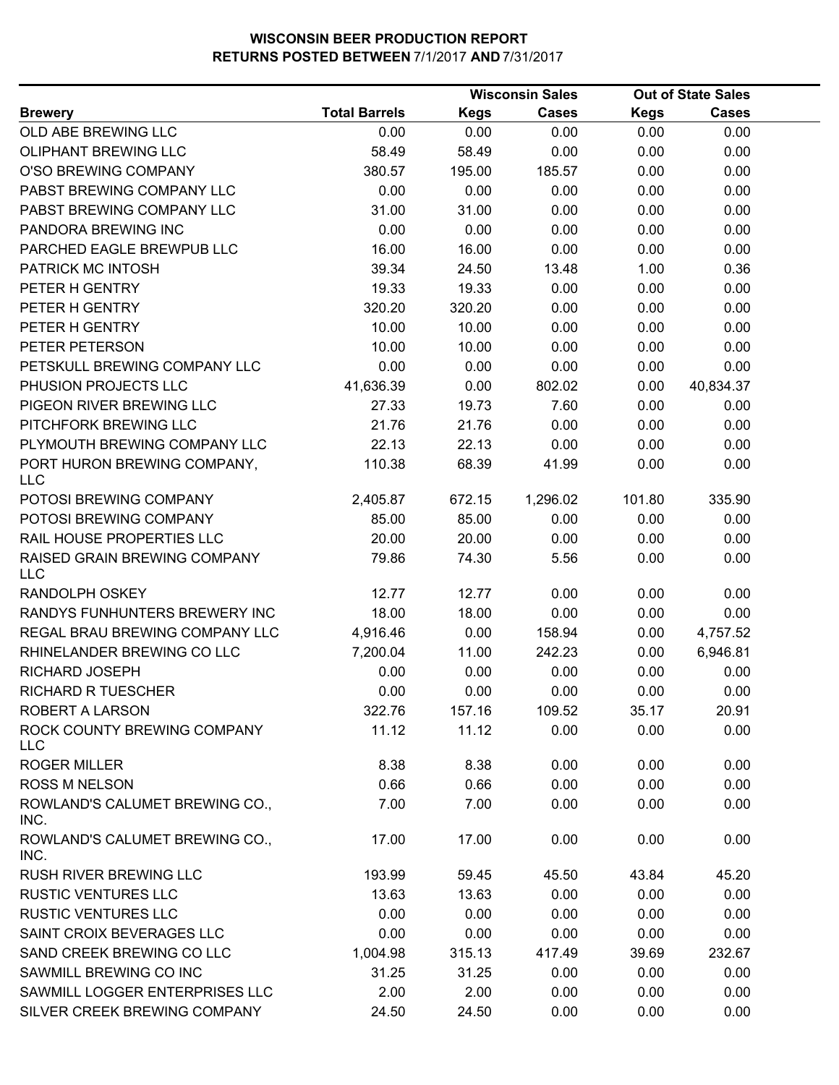|                                           |                      |             | <b>Wisconsin Sales</b> |             | <b>Out of State Sales</b> |  |
|-------------------------------------------|----------------------|-------------|------------------------|-------------|---------------------------|--|
| <b>Brewery</b>                            | <b>Total Barrels</b> | <b>Kegs</b> | <b>Cases</b>           | <b>Kegs</b> | Cases                     |  |
| OLD ABE BREWING LLC                       | 0.00                 | 0.00        | 0.00                   | 0.00        | 0.00                      |  |
| OLIPHANT BREWING LLC                      | 58.49                | 58.49       | 0.00                   | 0.00        | 0.00                      |  |
| O'SO BREWING COMPANY                      | 380.57               | 195.00      | 185.57                 | 0.00        | 0.00                      |  |
| PABST BREWING COMPANY LLC                 | 0.00                 | 0.00        | 0.00                   | 0.00        | 0.00                      |  |
| PABST BREWING COMPANY LLC                 | 31.00                | 31.00       | 0.00                   | 0.00        | 0.00                      |  |
| PANDORA BREWING INC                       | 0.00                 | 0.00        | 0.00                   | 0.00        | 0.00                      |  |
| PARCHED EAGLE BREWPUB LLC                 | 16.00                | 16.00       | 0.00                   | 0.00        | 0.00                      |  |
| PATRICK MC INTOSH                         | 39.34                | 24.50       | 13.48                  | 1.00        | 0.36                      |  |
| PETER H GENTRY                            | 19.33                | 19.33       | 0.00                   | 0.00        | 0.00                      |  |
| PETER H GENTRY                            | 320.20               | 320.20      | 0.00                   | 0.00        | 0.00                      |  |
| PETER H GENTRY                            | 10.00                | 10.00       | 0.00                   | 0.00        | 0.00                      |  |
| PETER PETERSON                            | 10.00                | 10.00       | 0.00                   | 0.00        | 0.00                      |  |
| PETSKULL BREWING COMPANY LLC              | 0.00                 | 0.00        | 0.00                   | 0.00        | 0.00                      |  |
| PHUSION PROJECTS LLC                      | 41,636.39            | 0.00        | 802.02                 | 0.00        | 40,834.37                 |  |
| PIGEON RIVER BREWING LLC                  | 27.33                | 19.73       | 7.60                   | 0.00        | 0.00                      |  |
| PITCHFORK BREWING LLC                     | 21.76                | 21.76       | 0.00                   | 0.00        | 0.00                      |  |
| PLYMOUTH BREWING COMPANY LLC              | 22.13                | 22.13       | 0.00                   | 0.00        | 0.00                      |  |
| PORT HURON BREWING COMPANY,<br><b>LLC</b> | 110.38               | 68.39       | 41.99                  | 0.00        | 0.00                      |  |
| POTOSI BREWING COMPANY                    | 2,405.87             | 672.15      | 1,296.02               | 101.80      | 335.90                    |  |
| POTOSI BREWING COMPANY                    | 85.00                | 85.00       | 0.00                   | 0.00        | 0.00                      |  |
| RAIL HOUSE PROPERTIES LLC                 | 20.00                | 20.00       | 0.00                   | 0.00        | 0.00                      |  |
| RAISED GRAIN BREWING COMPANY<br>LLC       | 79.86                | 74.30       | 5.56                   | 0.00        | 0.00                      |  |
| RANDOLPH OSKEY                            | 12.77                | 12.77       | 0.00                   | 0.00        | 0.00                      |  |
| RANDYS FUNHUNTERS BREWERY INC             | 18.00                | 18.00       | 0.00                   | 0.00        | 0.00                      |  |
| REGAL BRAU BREWING COMPANY LLC            | 4,916.46             | 0.00        | 158.94                 | 0.00        | 4,757.52                  |  |
| RHINELANDER BREWING CO LLC                | 7,200.04             | 11.00       | 242.23                 | 0.00        | 6,946.81                  |  |
| RICHARD JOSEPH                            | 0.00                 | 0.00        | 0.00                   | 0.00        | 0.00                      |  |
| <b>RICHARD R TUESCHER</b>                 | 0.00                 | 0.00        | 0.00                   | 0.00        | 0.00                      |  |
| ROBERT A LARSON                           | 322.76               | 157.16      | 109.52                 | 35.17       | 20.91                     |  |
| ROCK COUNTY BREWING COMPANY<br><b>LLC</b> | 11.12                | 11.12       | 0.00                   | 0.00        | 0.00                      |  |
| <b>ROGER MILLER</b>                       | 8.38                 | 8.38        | 0.00                   | 0.00        | 0.00                      |  |
| <b>ROSS M NELSON</b>                      | 0.66                 | 0.66        | 0.00                   | 0.00        | 0.00                      |  |
| ROWLAND'S CALUMET BREWING CO.,<br>INC.    | 7.00                 | 7.00        | 0.00                   | 0.00        | 0.00                      |  |
| ROWLAND'S CALUMET BREWING CO.,<br>INC.    | 17.00                | 17.00       | 0.00                   | 0.00        | 0.00                      |  |
| <b>RUSH RIVER BREWING LLC</b>             | 193.99               | 59.45       | 45.50                  | 43.84       | 45.20                     |  |
| <b>RUSTIC VENTURES LLC</b>                | 13.63                | 13.63       | 0.00                   | 0.00        | 0.00                      |  |
| <b>RUSTIC VENTURES LLC</b>                | 0.00                 | 0.00        | 0.00                   | 0.00        | 0.00                      |  |
| SAINT CROIX BEVERAGES LLC                 | 0.00                 | 0.00        | 0.00                   | 0.00        | 0.00                      |  |
| SAND CREEK BREWING CO LLC                 | 1,004.98             | 315.13      | 417.49                 | 39.69       | 232.67                    |  |
| SAWMILL BREWING CO INC                    | 31.25                | 31.25       | 0.00                   | 0.00        | 0.00                      |  |
| SAWMILL LOGGER ENTERPRISES LLC            | 2.00                 | 2.00        | 0.00                   | 0.00        | 0.00                      |  |
| SILVER CREEK BREWING COMPANY              | 24.50                | 24.50       | 0.00                   | 0.00        | 0.00                      |  |
|                                           |                      |             |                        |             |                           |  |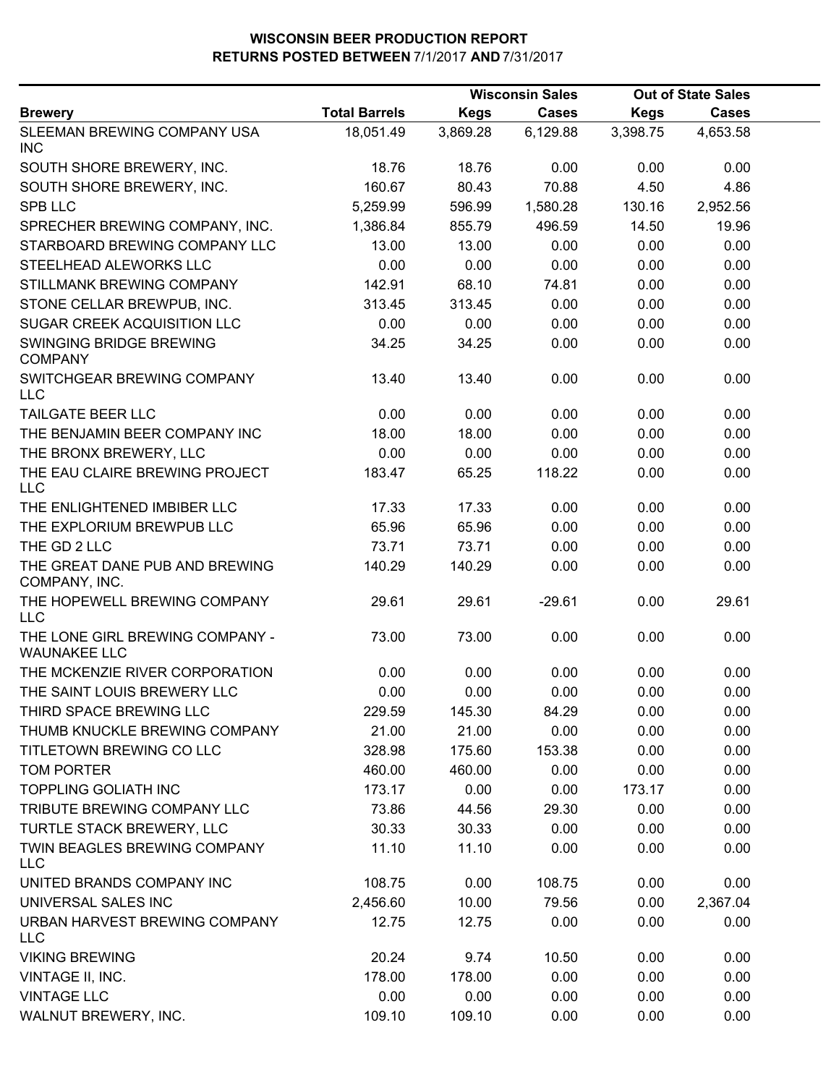|                                                        |                      | <b>Wisconsin Sales</b> |              | <b>Out of State Sales</b> |              |  |  |
|--------------------------------------------------------|----------------------|------------------------|--------------|---------------------------|--------------|--|--|
| <b>Brewery</b>                                         | <b>Total Barrels</b> | <b>Kegs</b>            | <b>Cases</b> | <b>Kegs</b>               | <b>Cases</b> |  |  |
| SLEEMAN BREWING COMPANY USA<br><b>INC</b>              | 18,051.49            | 3,869.28               | 6,129.88     | 3,398.75                  | 4,653.58     |  |  |
| SOUTH SHORE BREWERY, INC.                              | 18.76                | 18.76                  | 0.00         | 0.00                      | 0.00         |  |  |
| SOUTH SHORE BREWERY, INC.                              | 160.67               | 80.43                  | 70.88        | 4.50                      | 4.86         |  |  |
| <b>SPB LLC</b>                                         | 5,259.99             | 596.99                 | 1,580.28     | 130.16                    | 2,952.56     |  |  |
| SPRECHER BREWING COMPANY, INC.                         | 1,386.84             | 855.79                 | 496.59       | 14.50                     | 19.96        |  |  |
| STARBOARD BREWING COMPANY LLC                          | 13.00                | 13.00                  | 0.00         | 0.00                      | 0.00         |  |  |
| STEELHEAD ALEWORKS LLC                                 | 0.00                 | 0.00                   | 0.00         | 0.00                      | 0.00         |  |  |
| STILLMANK BREWING COMPANY                              | 142.91               | 68.10                  | 74.81        | 0.00                      | 0.00         |  |  |
| STONE CELLAR BREWPUB, INC.                             | 313.45               | 313.45                 | 0.00         | 0.00                      | 0.00         |  |  |
| <b>SUGAR CREEK ACQUISITION LLC</b>                     | 0.00                 | 0.00                   | 0.00         | 0.00                      | 0.00         |  |  |
| SWINGING BRIDGE BREWING<br><b>COMPANY</b>              | 34.25                | 34.25                  | 0.00         | 0.00                      | 0.00         |  |  |
| SWITCHGEAR BREWING COMPANY<br><b>LLC</b>               | 13.40                | 13.40                  | 0.00         | 0.00                      | 0.00         |  |  |
| TAILGATE BEER LLC                                      | 0.00                 | 0.00                   | 0.00         | 0.00                      | 0.00         |  |  |
| THE BENJAMIN BEER COMPANY INC                          | 18.00                | 18.00                  | 0.00         | 0.00                      | 0.00         |  |  |
| THE BRONX BREWERY, LLC                                 | 0.00                 | 0.00                   | 0.00         | 0.00                      | 0.00         |  |  |
| THE EAU CLAIRE BREWING PROJECT<br><b>LLC</b>           | 183.47               | 65.25                  | 118.22       | 0.00                      | 0.00         |  |  |
| THE ENLIGHTENED IMBIBER LLC                            | 17.33                | 17.33                  | 0.00         | 0.00                      | 0.00         |  |  |
| THE EXPLORIUM BREWPUB LLC                              | 65.96                | 65.96                  | 0.00         | 0.00                      | 0.00         |  |  |
| THE GD 2 LLC                                           | 73.71                | 73.71                  | 0.00         | 0.00                      | 0.00         |  |  |
| THE GREAT DANE PUB AND BREWING<br>COMPANY, INC.        | 140.29               | 140.29                 | 0.00         | 0.00                      | 0.00         |  |  |
| THE HOPEWELL BREWING COMPANY<br><b>LLC</b>             | 29.61                | 29.61                  | $-29.61$     | 0.00                      | 29.61        |  |  |
| THE LONE GIRL BREWING COMPANY -<br><b>WAUNAKEE LLC</b> | 73.00                | 73.00                  | 0.00         | 0.00                      | 0.00         |  |  |
| THE MCKENZIE RIVER CORPORATION                         | 0.00                 | 0.00                   | 0.00         | 0.00                      | 0.00         |  |  |
| THE SAINT LOUIS BREWERY LLC                            | 0.00                 | 0.00                   | 0.00         | 0.00                      | 0.00         |  |  |
| THIRD SPACE BREWING LLC                                | 229.59               | 145.30                 | 84.29        | 0.00                      | 0.00         |  |  |
| THUMB KNUCKLE BREWING COMPANY                          | 21.00                | 21.00                  | 0.00         | 0.00                      | 0.00         |  |  |
| TITLETOWN BREWING CO LLC                               | 328.98               | 175.60                 | 153.38       | 0.00                      | 0.00         |  |  |
| <b>TOM PORTER</b>                                      | 460.00               | 460.00                 | 0.00         | 0.00                      | 0.00         |  |  |
| <b>TOPPLING GOLIATH INC</b>                            | 173.17               | 0.00                   | 0.00         | 173.17                    | 0.00         |  |  |
| TRIBUTE BREWING COMPANY LLC                            | 73.86                | 44.56                  | 29.30        | 0.00                      | 0.00         |  |  |
| TURTLE STACK BREWERY, LLC                              | 30.33                | 30.33                  | 0.00         | 0.00                      | 0.00         |  |  |
| TWIN BEAGLES BREWING COMPANY<br><b>LLC</b>             | 11.10                | 11.10                  | 0.00         | 0.00                      | 0.00         |  |  |
| UNITED BRANDS COMPANY INC                              | 108.75               | 0.00                   | 108.75       | 0.00                      | 0.00         |  |  |
| UNIVERSAL SALES INC                                    | 2,456.60             | 10.00                  | 79.56        | 0.00                      | 2,367.04     |  |  |
| URBAN HARVEST BREWING COMPANY<br><b>LLC</b>            | 12.75                | 12.75                  | 0.00         | 0.00                      | 0.00         |  |  |
| <b>VIKING BREWING</b>                                  | 20.24                | 9.74                   | 10.50        | 0.00                      | 0.00         |  |  |
| VINTAGE II, INC.                                       | 178.00               | 178.00                 | 0.00         | 0.00                      | 0.00         |  |  |
| <b>VINTAGE LLC</b>                                     | 0.00                 | 0.00                   | 0.00         | 0.00                      | 0.00         |  |  |
| WALNUT BREWERY, INC.                                   | 109.10               | 109.10                 | 0.00         | 0.00                      | 0.00         |  |  |